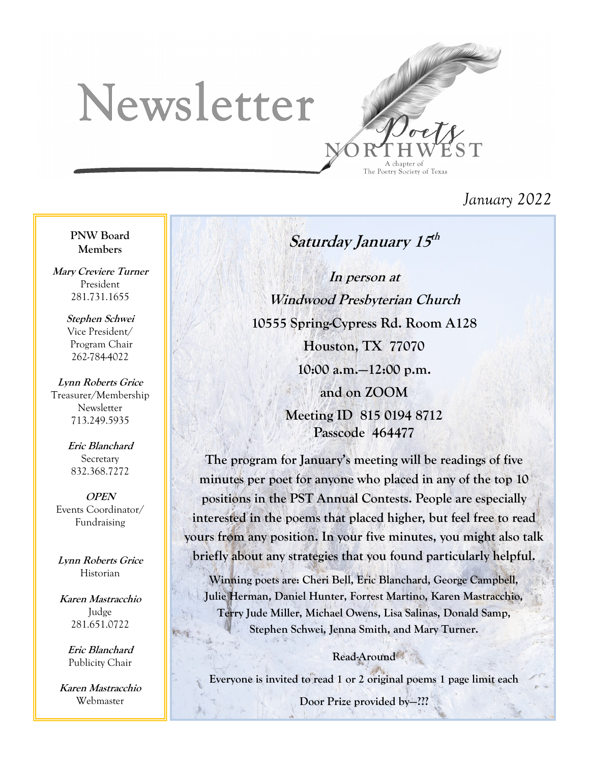# Newsletter



## *January 2022*

#### **PNW Board Members**

**Mary Creviere Turner** President 281.731.1655

> **Stephen Schwei** Vice President/ Program Chair 262-784-4022

**Lynn Roberts Grice** Treasurer/Membership Newsletter 713.249.5935

> **Eric Blanchard Secretary** 832.368.7272

**OPEN** Events Coordinator/ Fundraising

**Lynn Roberts Grice** Historian

**Karen Mastracchio** Judge 281.651.0722

> **Eric Blanchard** Publicity Chair

**Karen Mastracchio** Webmaster

**Saturday January 15 th**

**In person at Windwood Presbyterian Church 10555 Spring-Cypress Rd. Room A128 Houston, TX 77070 10:00 a.m.—12:00 p.m. and on ZOOM Meeting ID 815 0194 8712 Passcode 464477**

**The program for January's meeting will be readings of five minutes per poet for anyone who placed in any of the top 10 positions in the PST Annual Contests. People are especially interested in the poems that placed higher, but feel free to read yours from any position. In your five minutes, you might also talk briefly about any strategies that you found particularly helpful.**

**Winning poets are: Cheri Bell, Eric Blanchard, George Campbell, Julie Herman, Daniel Hunter, Forrest Martino, Karen Mastracchio, Terry Jude Miller, Michael Owens, Lisa Salinas, Donald Samp, Stephen Schwei, Jenna Smith, and Mary Turner.**

## **Read-Around**

**Everyone is invited to read 1 or 2 original poems 1 page limit each**

**Door Prize provided by—???**